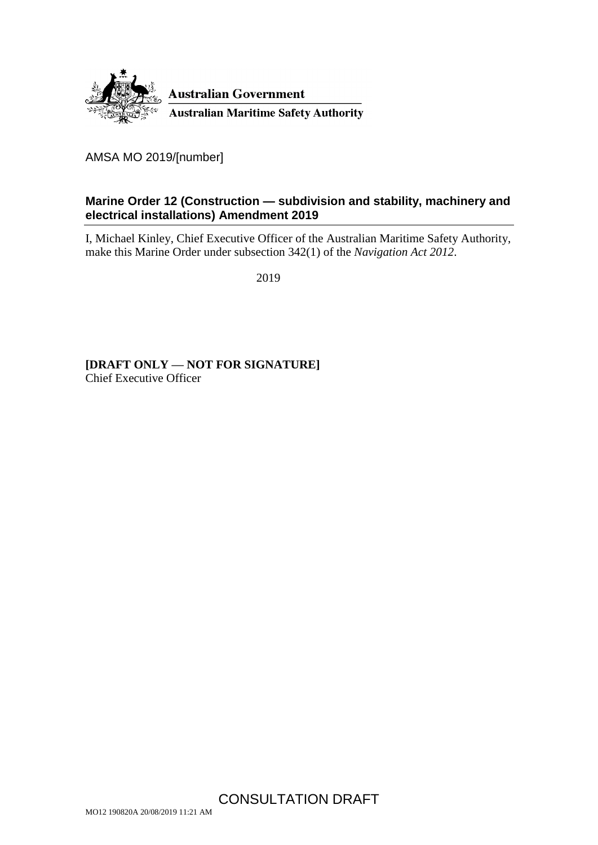

AMSA MO 2019/[number]

### <span id="page-0-0"></span>**Marine Order 12 (Construction — subdivision and stability, machinery and electrical installations) Amendment 2019**

I, Michael Kinley, Chief Executive Officer of the Australian Maritime Safety Authority, make this Marine Order under subsection 342(1) of the *Navigation Act 2012*.

2019

**[DRAFT ONLY — NOT FOR SIGNATURE]** Chief Executive Officer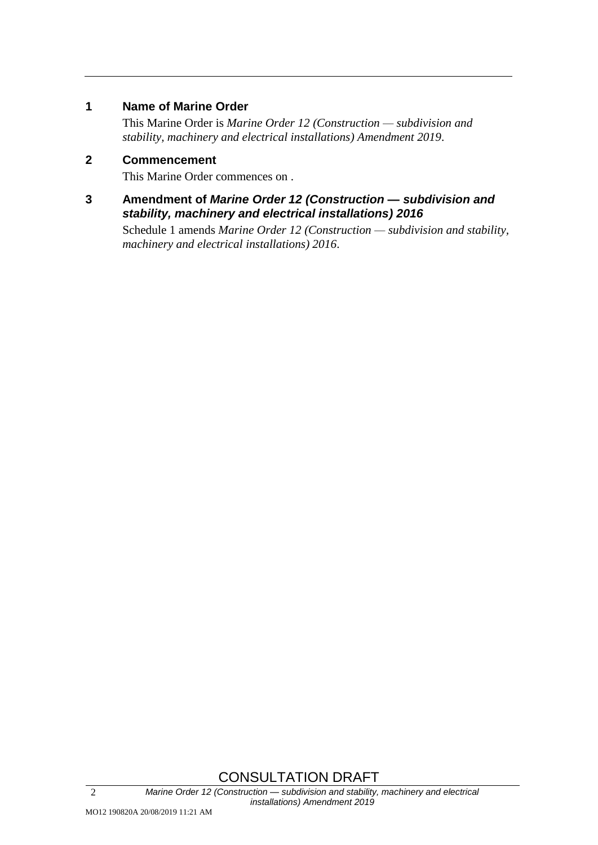### **1 Name of Marine Order**

This Marine Order is *Marine Order 12 (Construction — subdivision and stability, machinery and electrical installations) Amendment 2019*.

## **2 Commencement**

This Marine Order commences on .

**3 Amendment of** *Marine Order 12 (Construction — subdivision and stability, machinery and electrical installations) 2016*

Schedule 1 amends *Marine Order 12 (Construction — subdivision and stability, machinery and electrical installations) 2016*.

# CONSULTATION DRAFT